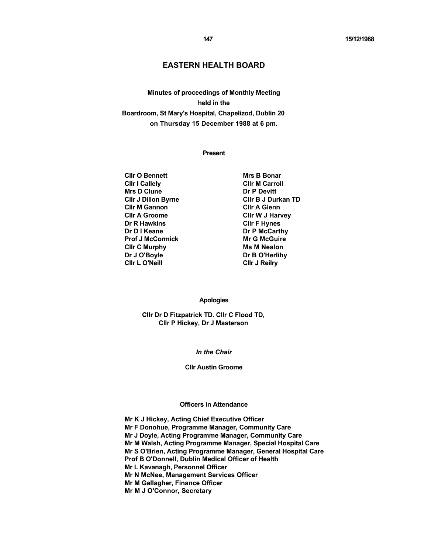# **EASTERN HEALTH BOARD**

**Minutes of proceedings of Monthly Meeting held in the Boardroom, St Mary's Hospital, Chapelizod, Dublin 20 on Thursday 15 December 1988 at 6 pm.** 

# **Present**

**Clir O Bennett** Mrs B Bonar **Clir I Callely Clir M Carroll Mrs D Clune Dr P Devitt Clir M Gannon** Clir A Glenn **Cllr A Groome Cllr W J Harvey Dr R Hawkins CIIr F Hynes Dr D I Keane** Dr P McCarthy **Prof J McCormick Mr G McGuire Clir C Murphy Ms M Nealon** Dr J O'Boyle **Dr B O'Herlihy Clir L O'Neill Clir J Reilry Clir And All Clir J Reilry** 

**Cllr J Dillon Byrne Cllr B J Durkan TD** 

#### **Apologies**

**Cllr Dr D Fitzpatrick TD. Cllr C Flood TD, Cllr P Hickey, Dr J Masterson** 

#### *In the Chair*

## **Cllr Austin Groome**

#### **Officers in Attendance**

**Mr K J Hickey, Acting Chief Executive Officer Mr F Donohue, Programme Manager, Community Care Mr J Doyle, Acting Programme Manager, Community Care Mr M Walsh, Acting Programme Manager, Special Hospital Care Mr S O'Brien, Acting Programme Manager, General Hospital Care Prof B O'Donnell, Dublin Medical Officer of Health Mr L Kavanagh, Personnel Officer Mr N McNee, Management Services Officer Mr M Gallagher, Finance Officer Mr M J O'Connor, Secretary**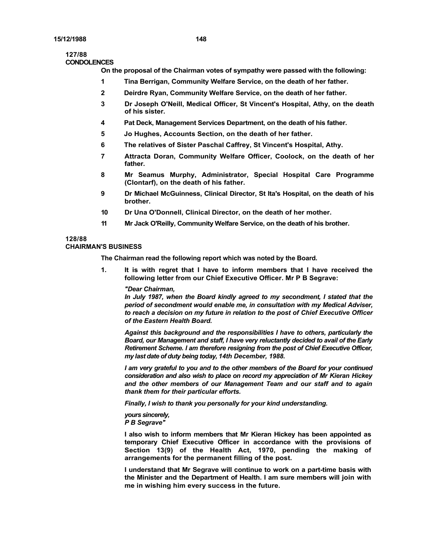#### **127/88 CONDOLENCES**

**On the proposal of the Chairman votes of sympathy were passed with the following:**

- **1 Tina Berrigan, Community Welfare Service, on the death of her father.**
- **2 Deirdre Ryan, Community Welfare Service, on the death of her father.**
- **3 Dr Joseph O'Neill, Medical Officer, St Vincent's Hospital, Athy, on the death of his sister.**
- **4 Pat Deck, Management Services Department, on the death of his father.**
- **5 Jo Hughes, Accounts Section, on the death of her father.**
- **6 The relatives of Sister Paschal Caffrey, St Vincent's Hospital, Athy.**
- **7 Attracta Doran, Community Welfare Officer, Coolock, on the death of her father.**
- **8 Mr Seamus Murphy, Administrator, Special Hospital Care Programme (Clontarf), on the death of his father.**
- **9 Dr Michael McGuinness, Clinical Director, St Ita's Hospital, on the death of his brother.**
- **10 Dr Una O'Donnell, Clinical Director, on the death of her mother.**
- **11 Mr Jack O'Reilly, Community Welfare Service, on the death of his brother.**

## **128/88**

## **CHAIRMAN'S BUSINESS**

**The Chairman read the following report which was noted by the Board.** 

**1. It is with regret that I have to inform members that I have received the following letter from our Chief Executive Officer. Mr P B Segrave:**

## *"Dear Chairman,*

*In July 1987, when the Board kindly agreed to my secondment, I stated that the period of secondment would enable me, in consultation with my Medical Adviser, to reach a decision on my future in relation to the post of Chief Executive Officer of the Eastern Health Board.* 

*Against this background and the responsibilities I have to others, particularly the Board, our Management and staff, I have very reluctantly decided to avail of the Early Retirement Scheme. I am therefore resigning from the post of Chief Executive Officer, my last date of duty being today, 14th December, 1988.* 

*I am very grateful to you and to the other members of the Board for your continued consideration and also wish to place on record my appreciation of Mr Kieran Hickey and the other members of our Management Team and our staff and to again thank them for their particular efforts.* 

*Finally, I wish to thank you personally for your kind understanding.* 

*yours sincerely, P B Segrave"* 

**I also wish to inform members that Mr Kieran Hickey has been appointed as temporary Chief Executive Officer in accordance with the provisions of Section 13(9) of the Health Act, 1970, pending the making of arrangements for the permanent filling of the post.**

**I understand that Mr Segrave will continue to work on a part-time basis with the Minister and the Department of Health. I am sure members will join with me in wishing him every success in the future.**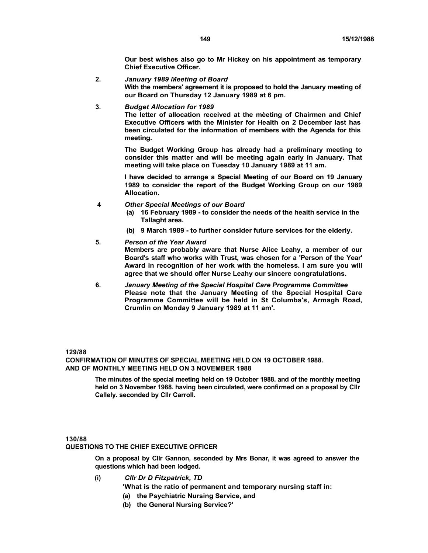**Our best wishes also go to Mr Hickey on his appointment as temporary Chief Executive Officer.**

- **2.** *January 1989 Meeting of Board* **With the members' agreement it is proposed to hold the January meeting of our Board on Thursday 12 January 1989 at 6 pm.**
- **3.** *Budget Allocation for 1989*

**The letter of allocation received at the mèeting of Chairmen and Chief Executive Officers with the Minister for Health on 2 December last has been circulated for the information of members with the Agenda for this meeting.**

**The Budget Working Group has already had a preliminary meeting to consider this matter and will be meeting again early in January. That meeting will take place on Tuesday 10 January 1989 at 11 am.**

**I have decided to arrange a Special Meeting of our Board on 19 January 1989 to consider the report of the Budget Working Group on our 1989 Allocation.**

- **4** *Other Special Meetings of our Board*
	- **(a) 16 February 1989 to consider the needs of the health service in the Tallaght area.**
	- **(b) 9 March 1989 to further consider future services for the elderly.**

#### **5.** *Person of the Year Award*

**Members are probably aware that Nurse Alice Leahy, a member of our Board's staff who works with Trust, was chosen for a 'Person of the Year' Award in recognition of her work with the homeless. I am sure you will agree that we should offer Nurse Leahy our sincere congratulations.**

**6.** *January Meeting of the Special Hospital Care Programme Committee*  **Please note that the January Meeting of the Special Hospital Care Programme Committee will be held in St Columba's, Armagh Road, Crumlin on Monday 9 January 1989 at 11 am'.**

#### **129/88**

**CONFIRMATION OF MINUTES OF SPECIAL MEETING HELD ON 19 OCTOBER 1988. AND OF MONTHLY MEETING HELD ON 3 NOVEMBER 1988** 

> **The minutes of the special meeting held on 19 October 1988. and of the monthly meeting held on 3 November 1988. having been circulated, were confirmed on a proposal by Cllr Callely. seconded by Cllr Carroll.**

#### **130/88**

# **QUESTIONS TO THE CHIEF EXECUTIVE OFFICER**

**On a proposal by Cllr Gannon, seconded by Mrs Bonar, it was agreed to answer the questions which had been lodged.** 

**(i)** *Cllr Dr D Fitzpatrick, TD*

**'What is the ratio of permanent and temporary nursing staff in:**

- **(a) the Psychiatric Nursing Service, and**
- **(b) the General Nursing Service?'**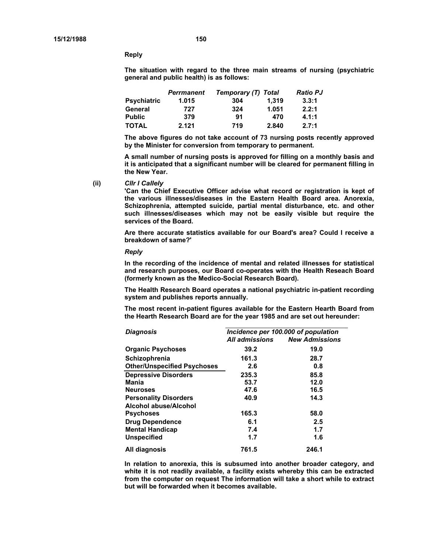**Reply** 

**The situation with regard to the three main streams of nursing (psychiatric general and public health) is as follows:** 

|                    | <b>Perrmanent</b> | Temporary (T) Total |       | <b>Ratio PJ</b> |  |
|--------------------|-------------------|---------------------|-------|-----------------|--|
| <b>Psychiatric</b> | 1.015             | 304                 | 1.319 | 3.3:1           |  |
| General            | 727               | 324                 | 1.051 | 2.2:1           |  |
| <b>Public</b>      | 379               | 91                  | 470   | 4.1:1           |  |
| TOTAL              | 2.121             | 719                 | 2.840 | 2.7:1           |  |

**The above figures do not take account of 73 nursing posts recently approved by the Minister for conversion from temporary to permanent.** 

**A small number of nursing posts is approved for filling on a monthly basis and it is anticipated that a significant number will be cleared for permanent filling in the New Year.** 

**(ii)** *Cllr I Callely*

**'Can the Chief Executive Officer advise what record or registration is kept of the various illnesses/diseases in the Eastern Health Board area. Anorexia, Schizophrenia, attempted suicide, partial mental disturbance, etc. and other such illnesses/diseases which may not be easily visible but require the services of the Board.** 

**Are there accurate statistics available for our Board's area? Could I receive a breakdown of same?'** 

*Reply* 

**In the recording of the incidence of mental and related illnesses for statistical and research purposes, our Board co-operates with the Health Reseach Board (formerly known as the Medico-Social Research Board).** 

**The Health Research Board operates a national psychiatric in-patient recording system and publishes reports annually.** 

**The most recent in-patient figures available for the Eastern Hearth Board from the Hearth Research Board are for the year 1985 and are set out hereunder:** 

| <b>Diagnosis</b>                   | Incidence per 100.000 of population |                       |  |
|------------------------------------|-------------------------------------|-----------------------|--|
|                                    | All admissions                      | <b>New Admissions</b> |  |
| <b>Organic Psychoses</b>           | 39.2                                | 19.0                  |  |
| Schizophrenia                      | 161.3                               | 28.7                  |  |
| <b>Other/Unspecified Psychoses</b> | 2.6                                 | 0.8                   |  |
| <b>Depressive Disorders</b>        | 235.3                               | 85.8                  |  |
| Mania                              | 53.7                                | 12.0                  |  |
| <b>Neuroses</b>                    | 47.6                                | 16.5                  |  |
| <b>Personality Disorders</b>       | 40.9                                | 14.3                  |  |
| Alcohol abuse/Alcohol              |                                     |                       |  |
| <b>Psychoses</b>                   | 165.3                               | 58.0                  |  |
| <b>Drug Dependence</b>             | 6.1                                 | 2.5                   |  |
| <b>Mental Handicap</b>             | 7.4                                 | 1.7                   |  |
| <b>Unspecified</b>                 | 1.7                                 | 1.6                   |  |
| All diagnosis                      | 761.5                               | 246.1                 |  |

**In relation to anorexia, this is subsumed into another broader category, and white it is not readily available, a facility exists whereby this can be extracted from the computer on request The information will take a short while to extract but will be forwarded when it becomes available.**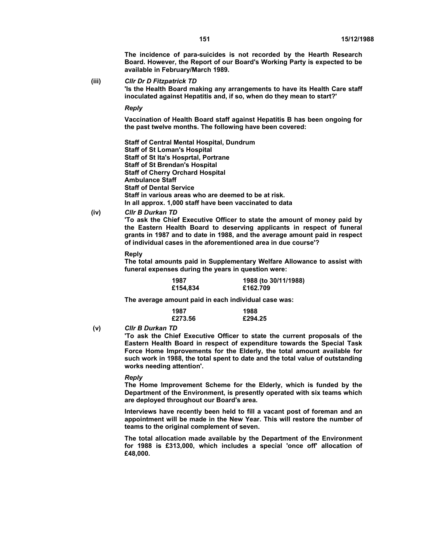**The incidence of para-suicides is not recorded by the Hearth Research Board. However, the Report of our Board's Working Party is expected to be available in February/March 1989.** 

**(iii)** *Cllr Dr D Fitzpatrick TD* 

**'Is the Health Board making any arrangements to have its Health Care staff inoculated against Hepatitis and, if so, when do they mean to start?'** 

#### *Reply*

**Vaccination of Health Board staff against Hepatitis B has been ongoing for the past twelve months. The following have been covered:** 

**Staff of Central Mental Hospital, Dundrum Staff of St Loman's Hospital Staff of St lta's Hosprtal, Portrane Staff of St Brendan's Hospital Staff of Cherry Orchard Hospital Ambulance Staff Staff of Dental Service Staff in various areas who are deemed to be at risk. In all approx. 1,000 staff have been vaccinated to data** 

**(iv)** *Cllr B Durkan TD* 

**'To ask the Chief Executive Officer to state the amount of money paid by the Eastern Health Board to deserving applicants in respect of funeral grants in 1987 and to date in 1988, and the average amount paid in respect of individual cases in the aforementioned area in due course'?** 

#### **Reply**

**The total amounts paid in Supplementary Welfare Allowance to assist with funeral expenses during the years in question were:** 

| 1987     | 1988 (to 30/11/1988) |
|----------|----------------------|
| £154,834 | £162.709             |

**The average amount paid in each individual case was:** 

| 1987    | 1988    |
|---------|---------|
| £273.56 | £294.25 |

**(v)** *Cllr B Durkan TD* 

**'To ask the Chief Executive Officer to state the current proposals of the Eastern Health Board in respect of expenditure towards the Special Task Force Home Improvements for the Elderly, the total amount available for such work in 1988, the total spent to date and the total value of outstanding works needing attention'.** 

#### *Reply*

**The Home Improvement Scheme for the Elderly, which is funded by the Department of the Environment, is presently operated with six teams which are deployed throughout our Board's area.** 

**Interviews have recently been held to fill a vacant post of foreman and an appointment will be made in the New Year. This will restore the number of teams to the original complement of seven.** 

**The total allocation made available by the Department of the Environment for 1988 is £313,000, which includes a special 'once off' allocation of £48,000.**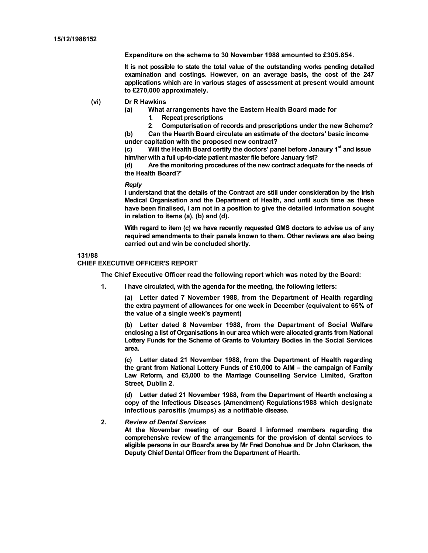**Expenditure on the scheme to 30 November 1988 amounted to £305.854.** 

**It is not possible to state the total value of the outstanding works pending detailed examination and costings. However, on an average basis, the cost of the 247 applications which are in various stages of assessment at present would amount to £270,000 approximately.** 

- **(vi) Dr R Hawkins** 
	- **(a) What arrangements have the Eastern Health Board made for** 
		- **1. Repeat prescriptions**

**2. Computerisation of records and prescriptions under the new Scheme? (b) Can the Hearth Board circulate an estimate of the doctors' basic income** 

**under capitation with the proposed new contract?**  (c) Will the Health Board certify the doctors' panel before Janaury 1<sup>st</sup> and issue **him/her with a full up-to-date patient master file before January 1st?** 

**(d) Are the monitoring procedures of the new contract adequate for the needs of the Health Board?'** 

#### *Reply*

**I understand that the details of the Contract are still under consideration by the Irish Medical Organisation and the Department of Health, and until such time as these have been finalised, I am not in a position to give the detailed information sought in relation to items (a), (b) and (d).** 

**With regard to item (c) we have recently requested GMS doctors to advise us of any required amendments to their panels known to them. Other reviews are also being carried out and win be concluded shortly.** 

#### **131/88**

#### **CHIEF EXECUTIVE OFFICER'S REPORT**

**The Chief Executive Officer read the following report which was noted by the Board:** 

**1. I have circulated, with the agenda for the meeting, the following letters:** 

**(a) Letter dated 7 November 1988, from the Department of Health regarding the extra payment of allowances for one week in December (equivalent to 65% of the value of a single week's payment)** 

**(b) Letter dated 8 November 1988, from the Department of Social Welfare enclosing a list of Organisations in our area which were allocated grants from National Lottery Funds for the Scheme of Grants to Voluntary Bodies in the Social Services area.** 

**(c) Letter dated 21 November 1988, from the Department of Health regarding the grant from National Lottery Funds of £10,000 to AIM – the campaign of Family Law Reform, and £5,000 to the Marriage Counselling Service Limited, Grafton Street, Dublin 2.** 

**(d) Letter dated 21 November 1988, from the Department of Hearth enclosing a copy of the Infectious Diseases (Amendment) Regulations1988 which designate infectious parositis (mumps) as a notifiable disease.** 

#### **2.** *Review of Dental Services*

**At the November meeting of our Board I informed members regarding the comprehensive review of the arrangements for the provision of dental services to eligible persons in our Board's area by Mr Fred Donohue and Dr John Clarkson, the Deputy Chief Dental Officer from the Department of Hearth.**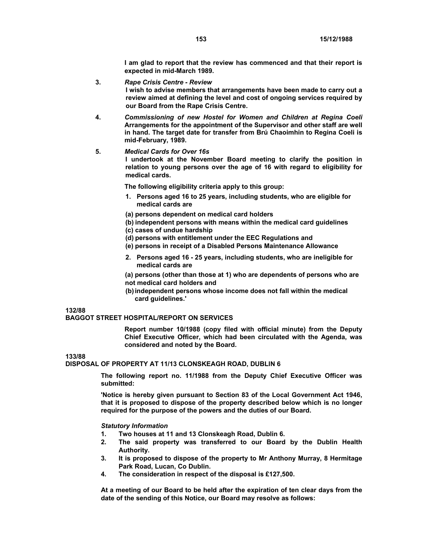**I am glad to report that the review has commenced and that their report is expected in mid-March 1989.** 

#### **3.** *Rape Crisis Centre - Review*

**I wish to advise members that arrangements have been made to carry out a review aimed at defining the level and cost of ongoing services required by our Board from the Rape Crisis Centre.** 

**4.** *Commissioning of new Hostel for Women and Children at Regina Coeli*  **Arrangements for the appointment of the Supervisor and other staff are well in hand. The target date for transfer from Brú Chaoimhin to Regina Coeli is mid-February, 1989.** 

#### **5.** *Medical Cards for Over 16s*

**I undertook at the November Board meeting to clarify the position in relation to young persons over the age of 16 with regard to eligibility for medical cards.** 

**The following eligibility criteria apply to this group:** 

- **1. Persons aged 16 to 25 years, including students, who are eligible for medical cards are**
- **(a) persons dependent on medical card holders**
- **(b) independent persons with means within the medical card guidelines**
- **(c) cases of undue hardship**
- **(d) persons with entitlement under the EEC Regulations and**
- **(e) persons in receipt of a Disabled Persons Maintenance Allowance**
- **2. Persons aged 16 25 years, including students, who are ineligible for medical cards are**

**(a) persons (other than those at 1) who are dependents of persons who are not medical card holders and** 

**(b) independent persons whose income does not fall within the medical card guidelines.'** 

# **132/88**

#### **BAGGOT STREET HOSPITAL/REPORT ON SERVICES**

**Report number 10/1988 (copy filed with official minute) from the Deputy Chief Executive Officer, which had been circulated with the Agenda, was considered and noted by the Board.** 

# **133/88**

**DISPOSAL OF PROPERTY AT 11/13 CLONSKEAGH ROAD, DUBLIN 6** 

**The following report no. 11/1988 from the Deputy Chief Executive Officer was submitted:** 

**'Notice is hereby given pursuant to Section 83 of the Local Government Act 1946, that it is proposed to dispose of the property described below which is no longer required for the purpose of the powers and the duties of our Board.** 

#### *Statutory Information*

- **1. Two houses at 11 and 13 Clonskeagh Road, Dublin 6.**
- **2. The said property was transferred to our Board by the Dublin Health Authority.**
- **3. It is proposed to dispose of the property to Mr Anthony Murray, 8 Hermitage Park Road, Lucan, Co Dublin.**
- **4. The consideration in respect of the disposal is £127,500.**

**At a meeting of our Board to be held after the expiration of ten clear days from the date of the sending of this Notice, our Board may resolve as follows:**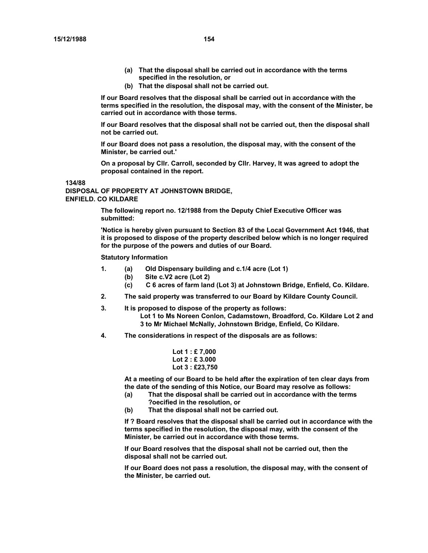- **(a) That the disposal shall be carried out in accordance with the terms specified in the resolution, or**
- **(b) That the disposal shall not be carried out.**

**If our Board resolves that the disposal shall be carried out in accordance with the terms specified in the resolution, the disposal may, with the consent of the Minister, be carried out in accordance with those terms.** 

**If our Board resolves that the disposal shall not be carried out, then the disposal shall not be carried out.** 

**If our Board does not pass a resolution, the disposal may, with the consent of the Minister, be carried out.'** 

**On a proposal by Cllr. Carroll, seconded by Cllr. Harvey, It was agreed to adopt the proposal contained in the report.** 

**134/88** 

**DISPOSAL OF PROPERTY AT JOHNSTOWN BRIDGE, ENFIELD. CO KILDARE** 

> **The following report no. 12/1988 from the Deputy Chief Executive Officer was submitted:**

**'Notice is hereby given pursuant to Section 83 of the Local Government Act 1946, that it is proposed to dispose of the property described below which is no longer required for the purpose of the powers and duties of our Board.** 

**Statutory Information** 

- **1. (a) Old Dispensary building and c.1/4 acre (Lot 1)** 
	- **(b) Site c.V2 acre (Lot 2)**
	- **(c) C 6 acres of farm land (Lot 3) at Johnstown Bridge, Enfield, Co. Kildare.**
- **2. The said property was transferred to our Board by Kildare County Council.**
- **3. It is proposed to dispose of the property as follows:** 
	- **Lot 1 to Ms Noreen Conlon, Cadamstown, Broadford, Co. Kildare Lot 2 and 3 to Mr Michael McNally, Johnstown Bridge, Enfield, Co Kildare.**
- **4. The considerations in respect of the disposals are as follows:** 
	- **Lot 1 : £ 7,000 Lot 2 : £ 3.000 Lot 3 : £23,750**

**At a meeting of our Board to be held after the expiration of ten clear days from the date of the sending of this Notice, our Board may resolve as follows:** 

- **(a) That the disposal shall be carried out in accordance with the terms ?oecified in the resolution, or**
- **(b) That the disposal shall not be carried out.**

**If ? Board resolves that the disposal shall be carried out in accordance with the terms specified in the resolution, the disposal may, with the consent of the Minister, be carried out in accordance with those terms.** 

**If our Board resolves that the disposal shall not be carried out, then the disposal shall not be carried out.** 

**If our Board does not pass a resolution, the disposal may, with the consent of the Minister, be carried out.**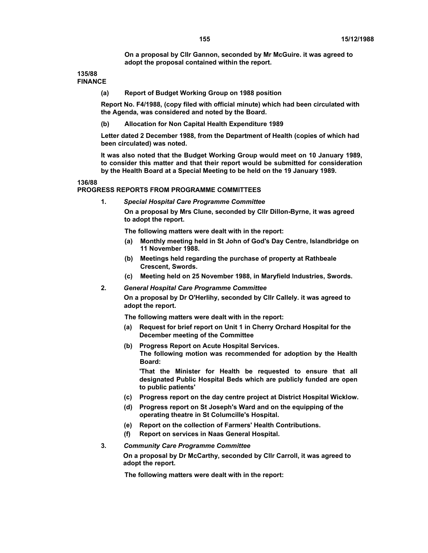**On a proposal by Cllr Gannon, seconded by Mr McGuire. it was agreed to adopt the proposal contained within the report.** 

**135/88 FINANCE** 

**(a) Report of Budget Working Group on 1988 position** 

**Report No. F4/1988, (copy filed with official minute) which had been circulated with the Agenda, was considered and noted by the Board.** 

**(b) Allocation for Non Capital Health Expenditure 1989** 

**Letter dated 2 December 1988, from the Department of Health (copies of which had been circulated) was noted.** 

**It was also noted that the Budget Working Group would meet on 10 January 1989, to consider this matter and that their report would be submitted for consideration by the Health Board at a Special Meeting to be held on the 19 January 1989.** 

**136/88** 

#### **PROGRESS REPORTS FROM PROGRAMME COMMITTEES**

**1.** *Special Hospital Care Programme Committee* 

**On a proposal by Mrs Clune, seconded by Cllr Dillon-Byrne, it was agreed to adopt the report.** 

**The following matters were dealt with in the report:** 

- **(a) Monthly meeting held in St John of God's Day Centre, Islandbridge on 11 November 1988.**
- **(b) Meetings held regarding the purchase of property at Rathbeale Crescent, Swords.**
- **(c) Meeting held on 25 November 1988, in Maryfield Industries, Swords.**
- **2.** *General Hospital Care Programme Committee*

**On a proposal by Dr O'Herlihy, seconded by Cllr Callely. it was agreed to adopt the report.** 

**The following matters were dealt with in the report:** 

- **(a) Request for brief report on Unit 1 in Cherry Orchard Hospital for the December meeting of the Committee**
- **(b) Progress Report on Acute Hospital Services. The following motion was recommended for adoption by the Health Board:**

**'That the Minister for Health be requested to ensure that all designated Public Hospital Beds which are publicly funded are open to public patients'** 

- **(c) Progress report on the day centre project at District Hospital Wicklow.**
- **(d) Progress report on St Joseph's Ward and on the equipping of the operating theatre in St Columcille's Hospital.**
- **(e) Report on the collection of Farmers' Health Contributions.**
- **(f) Report on services in Naas General Hospital.**

## **3.** *Community Care Programme Committee*

**On a proposal by Dr McCarthy, seconded by Cllr Carroll, it was agreed to adopt the report.** 

**The following matters were dealt with in the report:**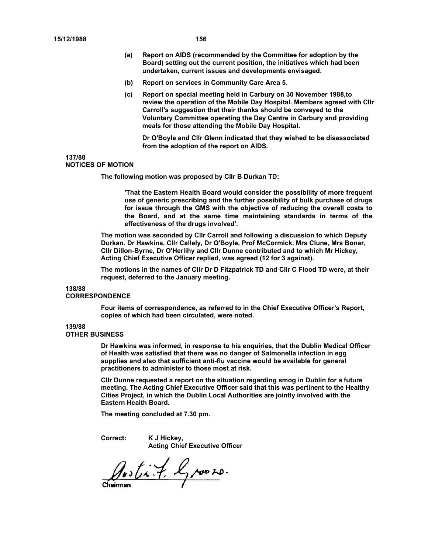- **(a) Report on AIDS (recommended by the Committee for adoption by the Board) setting out the current position, the initiatives which had been undertaken, current issues and developments envisaged.**
- **(b) Report on services in Community Care Area 5.**
- **(c) Report on special meeting held in Carbury on 30 November 1988,to review the operation of the Mobile Day Hospital. Members agreed with Cllr Carroll's suggestion that their thanks should be conveyed to the Voluntary Committee operating the Day Centre in Carbury and providing meals for those attending the Mobile Day Hospital.**

**Dr O'Boyle and Cllr Glenn indicated that they wished to be disassociated from the adoption of the report on AIDS.** 

# **137/88**

#### **NOTICES OF MOTION**

**The following motion was proposed by Cllr B Durkan TD:** 

**'That the Eastern Health Board would consider the possibility of more frequent use of generic prescribing and the further possibility of bulk purchase of drugs for issue through the GMS with the objective of reducing the overall costs to the Board, and at the same time maintaining standards in terms of the effectiveness of the drugs involved'.** 

**The motion was seconded by Cllr Carroll and following a discussion to which Deputy Durkan. Dr Hawkins, Cllr Callely, Dr O'Boyle, Prof McCormick, Mrs Clune, Mrs Bonar, Cllr Dillon-Byrne, Dr O'Herlihy and Cllr Dunne contributed and to which Mr Hickey, Acting Chief Executive Officer replied, was agreed (12 for 3 against).** 

**The motions in the names of Cllr Dr D Fitzpatrick TD and Cllr C Flood TD were, at their request, deferred to the January meeting.** 

#### **138/88**

#### **CORRESPONDENCE**

**Four items of correspondence, as referred to in the Chief Executive Officer's Report, copies of which had been circulated, were noted.** 

#### **139/88**

#### **OTHER BUSINESS**

**Dr Hawkins was informed, in response to his enquiries, that the Dublin Medical Officer of Health was satisfied that there was no danger of Salmonella infection in egg supplies and also that sufficient anti-flu vaccine would be available for general practitioners to administer to those most at risk.** 

**Cllr Dunne requested a report on the situation regarding smog in Dublin for a future meeting. The Acting Chief Executive Officer said that this was pertinent to the Healthy Cities Project, in which the Dublin Local Authorities are jointly involved with the Eastern Health Board.** 

**The meeting concluded at 7.30 pm.** 

**Correct: K J Hickey, Acting Chief Executive Officer** 

Austin 7. Groom.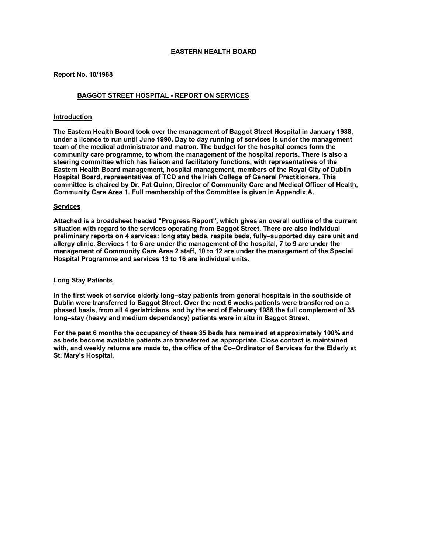# **EASTERN HEALTH BOARD**

## **Report No. 10/1988**

# **BAGGOT STREET HOSPITAL - REPORT ON SERVICES**

## **Introduction**

**The Eastern Health Board took over the management of Baggot Street Hospital in January 1988, under a licence to run until June 1990. Day to day running of services is under the management team of the medical administrator and matron. The budget for the hospital comes form the community care programme, to whom the management of the hospital reports. There is also a steering committee which has liaison and facilitatory functions, with representatives of the Eastern Health Board management, hospital management, members of the Royal City of Dublin Hospital Board, representatives of TCD and the Irish College of General Practitioners. This committee is chaired by Dr. Pat Quinn, Director of Community Care and Medical Officer of Health, Community Care Area 1. Full membership of the Committee is given in Appendix A.** 

#### **Services**

**Attached is a broadsheet headed "Progress Report", which gives an overall outline of the current situation with regard to the services operating from Baggot Street. There are also individual preliminary reports on 4 services: long stay beds, respite beds, fully–supported day care unit and allergy clinic. Services 1 to 6 are under the management of the hospital, 7 to 9 are under the management of Community Care Area 2 staff, 10 to 12 are under the management of the Special Hospital Programme and services 13 to 16 are individual units.** 

## **Long Stay Patients**

**In the first week of service elderly long–stay patients from general hospitals in the southside of Dublin were transferred to Baggot Street. Over the next 6 weeks patients were transferred on a phased basis, from all 4 geriatricians, and by the end of February 1988 the full complement of 35 long–stay (heavy and medium dependency) patients were in situ in Baggot Street.** 

**For the past 6 months the occupancy of these 35 beds has remained at approximately 100% and as beds become available patients are transferred as appropriate. Close contact is maintained with, and weekly returns are made to, the office of the Co–Ordinator of Services for the Elderly at St. Mary's Hospital.**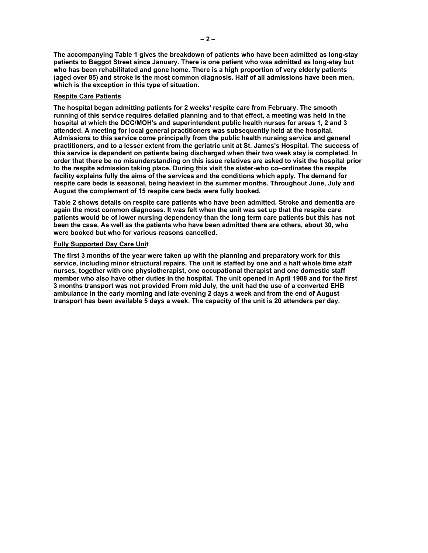**The accompanying Table 1 gives the breakdown of patients who have been admitted as long-stay patients to Baggot Street since January. There is one patient who was admitted as long-stay but who has been rehabilitated and gone home. There is a high proportion of very elderly patients (aged over 85) and stroke is the most common diagnosis. Half of all admissions have been men, which is the exception in this type of situation.** 

## **Respite Care Patients**

**The hospital began admitting patients for 2 weeks' respite care from February. The smooth running of this service requires detailed planning and to that effect, a meeting was held in the hospital at which the DCC/MOH's and superintendent public health nurses for areas 1, 2 and 3 attended. A meeting for local general practitioners was subsequently held at the hospital. Admissions to this service come principally from the public health nursing service and general practitioners, and to a lesser extent from the geriatric unit at St. James's Hospital. The success of this service is dependent on patients being discharged when their two week stay is completed. In order that there be no misunderstanding on this issue relatives are asked to visit the hospital prior to the respite admission taking place. During this visit the sister-who co–ordinates the respite facility explains fully the aims of the services and the conditions which apply. The demand for respite care beds is seasonal, being heaviest in the summer months. Throughout June, July and August the complement of 15 respite care beds were fully booked.** 

**Table 2 shows details on respite care patients who have been admitted. Stroke and dementia are again the most common diagnoses. It was felt when the unit was set up that the respite care patients would be of lower nursing dependency than the long term care patients but this has not been the case. As well as the patients who have been admitted there are others, about 30, who were booked but who for various reasons cancelled.** 

## **Fully Supported Day Care Unit**

**The first 3 months of the year were taken up with the planning and preparatory work for this service, including minor structural repairs. The unit is staffed by one and a half whole time staff nurses, together with one physiotherapist, one occupational therapist and one domestic staff member who also have other duties in the hospital. The unit opened in April 1988 and for the first 3 months transport was not provided From mid July, the unit had the use of a converted EHB ambulance in the early morning and late evening 2 days a week and from the end of August transport has been available 5 days a week. The capacity of the unit is 20 attenders per day.**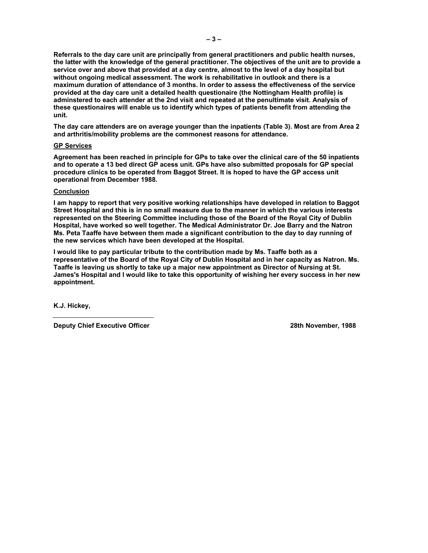**Referrals to the day care unit are principally from general practitioners and public health nurses, the latter with the knowledge of the general practitioner. The objectives of the unit are to provide a service over and above that provided at a day centre, almost to the level of a day hospital but without ongoing medical assessment. The work is rehabilitative in outlook and there is a maximum duration of attendance of 3 months. In order to assess the effectiveness of the service provided at the day care unit a detailed health questionaire (the Nottingham Health profile) is adminstered to each attender at the 2nd visit and repeated at the penultimate visit. Analysis of these questionaires will enable us to identify which types of patients benefit from attending the unit.** 

**The day care attenders are on average younger than the inpatients (Table 3). Most are from Area 2 and arthritis/mobility problems are the commonest reasons for attendance.** 

#### **GP Services**

**Agreement has been reached in principle for GPs to take over the clinical care of the 50 inpatients and to operate a 13 bed direct GP acess unit. GPs have also submitted proposals for GP special procedure clinics to be operated from Baggot Street. It is hoped to have the GP access unit operational from December 1988.** 

#### **Conclusion**

**I am happy to report that very positive working relationships have developed in relation to Baggot Street Hospital and this is in no small measure due to the manner in which the various interests represented on the Steering Committee including those of the Board of the Royal City of Dublin Hospital, have worked so well together. The Medical Administrator Dr. Joe Barry and the Natron Ms. Peta Taaffe have between them made a significant contribution to the day to day running of the new services which have been developed at the Hospital.** 

**I would like to pay particular tribute to the contribution made by Ms. Taaffe both as a representative of the Board of the Royal City of Dublin Hospital and in her capacity as Natron. Ms. Taaffe is leaving us shortly to take up a major new appointment as Director of Nursing at St. James's Hospital and I would like to take this opportunity of wishing her every success in her new appointment.** 

**K.J. Hickey,** 

**Deputy Chief Executive Officer 28th November, 1988**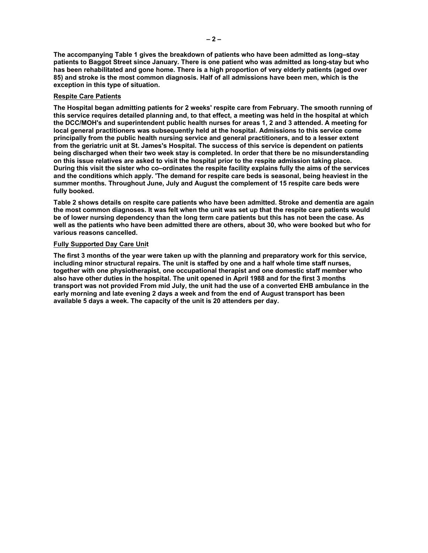**The accompanying Table 1 gives the breakdown of patients who have been admitted as long–stay patients to Baggot Street since January. There is one patient who was admitted as long-stay but who has been rehabilitated and gone home. There is a high proportion of very elderly patients (aged over 85) and stroke is the most common diagnosis. Half of all admissions have been men, which is the exception in this type of situation.** 

## **Respite Care Patients**

**The Hospital began admitting patients for 2 weeks' respite care from February. The smooth running of this service requires detailed planning and, to that effect, a meeting was held in the hospital at which the DCC/MOH's and superintendent public health nurses for areas 1, 2 and 3 attended. A meeting for local general practitioners was subsequently held at the hospital. Admissions to this service come principally from the public health nursing service and general practitioners, and to a lesser extent from the geriatric unit at St. James's Hospital. The success of this service is dependent on patients being discharged when their two week stay is completed. In order that there be no misunderstanding on this issue relatives are asked to visit the hospital prior to the respite admission taking place. During this visit the sister who co–ordinates the respite facility explains fully the aims of the services and the conditions which apply. 'The demand for respite care beds is seasonal, being heaviest in the summer months. Throughout June, July and August the complement of 15 respite care beds were fully booked.** 

**Table 2 shows details on respite care patients who have been admitted. Stroke and dementia are again the most common diagnoses. It was felt when the unit was set up that the respite care patients would be of lower nursing dependency than the long term care patients but this has not been the case. As well as the patients who have been admitted there are others, about 30, who were booked but who for various reasons cancelled.** 

# **Fully Supported Day Care Unit**

**The first 3 months of the year were taken up with the planning and preparatory work for this service, including minor structural repairs. The unit is staffed by one and a half whole time staff nurses, together with one physiotherapist, one occupational therapist and one domestic staff member who also have other duties in the hospital. The unit opened in April 1988 and for the first 3 months transport was not provided From mid July, the unit had the use of a converted EHB ambulance in the early morning and late evening 2 days a week and from the end of August transport has been available 5 days a week. The capacity of the unit is 20 attenders per day.**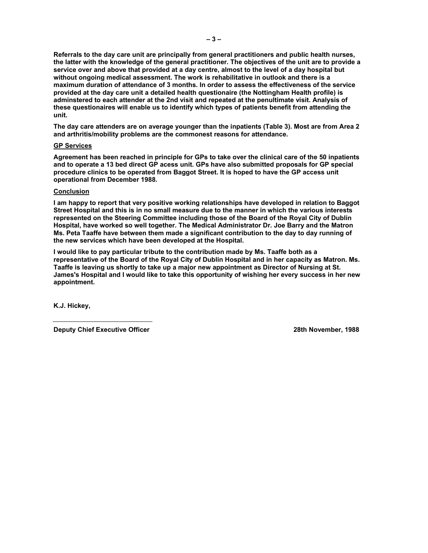**Referrals to the day care unit are principally from general practitioners and public health nurses, the latter with the knowledge of the general practitioner. The objectives of the unit are to provide a service over and above that provided at a day centre, almost to the level of a day hospital but without ongoing medical assessment. The work is rehabilitative in outlook and there is a maximum duration of attendance of 3 months. In order to assess the effectiveness of the service provided at the day care unit a detailed health questionaire (the Nottingham Health profile) is adminstered to each attender at the 2nd visit and repeated at the penultimate visit. Analysis of these questionaires will enable us to identify which types of patients benefit from attending the unit.** 

**The day care attenders are on average younger than the inpatients (Table 3). Most are from Area 2 and arthritis/mobility problems are the commonest reasons for attendance.** 

#### **GP Services**

**Agreement has been reached in principle for GPs to take over the clinical care of the 50 inpatients and to operate a 13 bed direct GP acess unit. GPs have also submitted proposals for GP special procedure clinics to be operated from Baggot Street. It is hoped to have the GP access unit operational from December 1988.** 

#### **Conclusion**

**I am happy to report that very positive working relationships have developed in relation to Baggot Street Hospital and this is in no small measure due to the manner in which the various interests represented on the Steering Committee including those of the Board of the Royal City of Dublin Hospital, have worked so well together. The Medical Administrator Dr. Joe Barry and the Matron Ms. Peta Taaffe have between them made a significant contribution to the day to day running of the new services which have been developed at the Hospital.** 

**I would like to pay particular tribute to the contribution made by Ms. Taaffe both as a representative of the Board of the Royal City of Dublin Hospital and in her capacity as Matron. Ms. Taaffe is leaving us shortly to take up a major new appointment as Director of Nursing at St. James's Hospital and I would like to take this opportunity of wishing her every success in her new appointment.** 

**K.J. Hickey,** 

**Deputy Chief Executive Officer 28th November, 1988**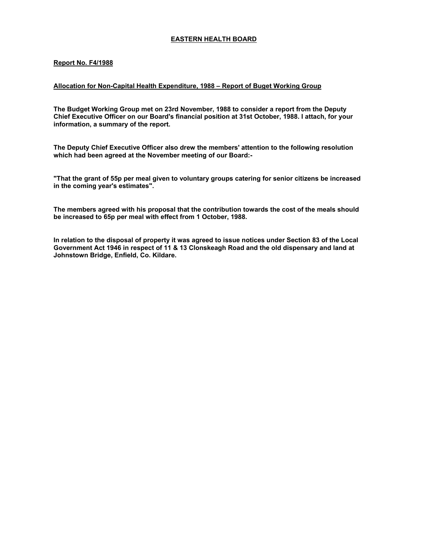# **EASTERN HEALTH BOARD**

# **Report No. F4/1988**

## **Allocation for Non-Capital Health Expenditure, 1988 – Report of Buget Working Group**

**The Budget Working Group met on 23rd November, 1988 to consider a report from the Deputy Chief Executive Officer on our Board's financial position at 31st October, 1988. I attach, for your information, a summary of the report.** 

**The Deputy Chief Executive Officer also drew the members' attention to the following resolution which had been agreed at the November meeting of our Board:-** 

**"That the grant of 55p per meal given to voluntary groups catering for senior citizens be increased in the coming year's estimates".** 

**The members agreed with his proposal that the contribution towards the cost of the meals should be increased to 65p per meal with effect from 1 October, 1988.** 

**In relation to the disposal of property it was agreed to issue notices under Section 83 of the Local Government Act 1946 in respect of 11 & 13 Clonskeagh Road and the old dispensary and land at Johnstown Bridge, Enfield, Co. Kildare.**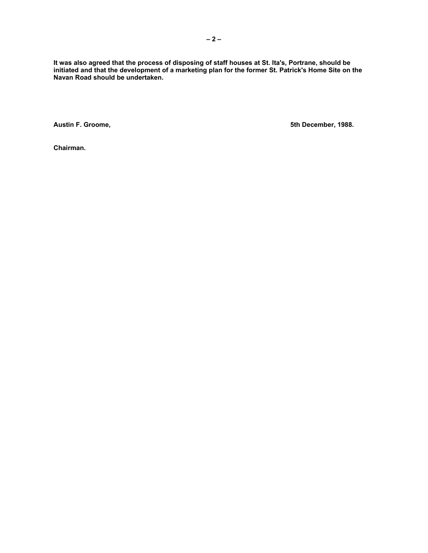**It was also agreed that the process of disposing of staff houses at St. Ita's, Portrane, should be initiated and that the development of a marketing plan for the former St. Patrick's Home Site on the Navan Road should be undertaken.** 

**Austin F. Groome, 5th December, 1988.** 

**Chairman.**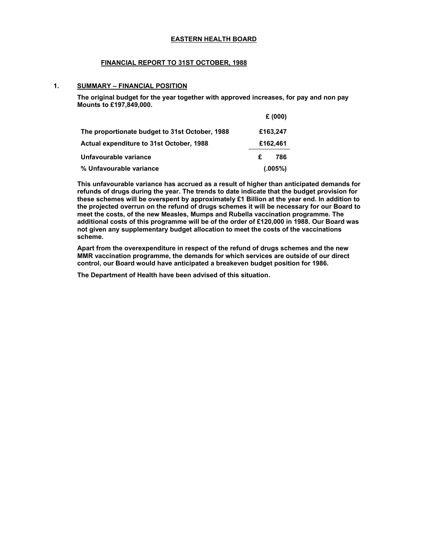## **EASTERN HEALTH BOARD**

# **FINANCIAL REPORT TO 31ST OCTOBER, 1988**

## **1. SUMMARY – FINANCIAL POSITION**

**The original budget for the year together with approved increases, for pay and non pay Mounts to £197,849,000.** 

|                                                | £(000)   |
|------------------------------------------------|----------|
| The proportionate budget to 31st October, 1988 | £163,247 |
| Actual expenditure to 31st October, 1988       | £162,461 |
| Unfavourable variance                          | £<br>786 |
| % Unfavourable variance                        | (.005%)  |

**This unfavourable variance has accrued as a result of higher than anticipated demands for refunds of drugs during the year. The trends to date indicate that the budget provision for these schemes will be overspent by approximately £1 Billion at the year end. In addition to the projected overrun on the refund of drugs schemes it will be necessary for our Board to meet the costs, of the new Measles, Mumps and Rubella vaccination programme. The additional costs of this programme will be of the order of £120,000 in 1988. Our Board was not given any supplementary budget allocation to meet the costs of the vaccinations scheme.** 

**Apart from the overexpenditure in respect of the refund of drugs schemes and the new MMR vaccination programme, the demands for which services are outside of our direct control, our Board would have anticipated a breakeven budget position for 1986.** 

**The Department of Health have been advised of this situation.**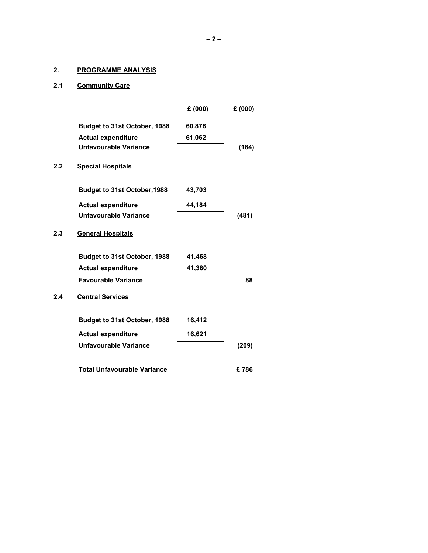# **2. PROGRAMME ANALYSIS**

# **2.1 Community Care**

|                                    | £(000) | £(000) |
|------------------------------------|--------|--------|
| Budget to 31st October, 1988       | 60.878 |        |
| <b>Actual expenditure</b>          | 61,062 |        |
| Unfavourable Variance              |        | (184)  |
| <b>Special Hospitals</b>           |        |        |
| Budget to 31st October, 1988       | 43,703 |        |
| <b>Actual expenditure</b>          | 44,184 |        |
| Unfavourable Variance              |        | (481)  |
| <b>General Hospitals</b>           |        |        |
| Budget to 31st October, 1988       | 41.468 |        |
| <b>Actual expenditure</b>          | 41,380 |        |
| <b>Favourable Variance</b>         |        | 88     |
| <b>Central Services</b>            |        |        |
| Budget to 31st October, 1988       | 16,412 |        |
| <b>Actual expenditure</b>          | 16,621 |        |
| Unfavourable Variance              |        | (209)  |
| <b>Total Unfavourable Variance</b> |        | £786   |
|                                    |        |        |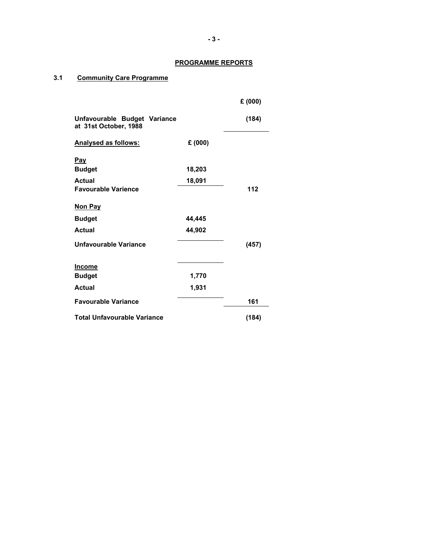# **PROGRAMME REPORTS**

# **3.1 Community Care Programme**

|                                                       |        | £ (000) |
|-------------------------------------------------------|--------|---------|
| Unfavourable Budget Variance<br>at 31st October, 1988 |        | (184)   |
| <b>Analysed as follows:</b>                           | £(000) |         |
| <u>Pay</u>                                            |        |         |
| <b>Budget</b>                                         | 18,203 |         |
| <b>Actual</b>                                         | 18,091 |         |
| <b>Favourable Varience</b>                            |        | 112     |
| Non Pay                                               |        |         |
| <b>Budget</b>                                         | 44,445 |         |
| <b>Actual</b>                                         | 44,902 |         |
| Unfavourable Variance                                 |        | (457)   |
| <b>Income</b>                                         |        |         |
| <b>Budget</b>                                         | 1,770  |         |
| <b>Actual</b>                                         | 1,931  |         |
| <b>Favourable Variance</b>                            |        | 161     |
| <b>Total Unfavourable Variance</b>                    |        | (184)   |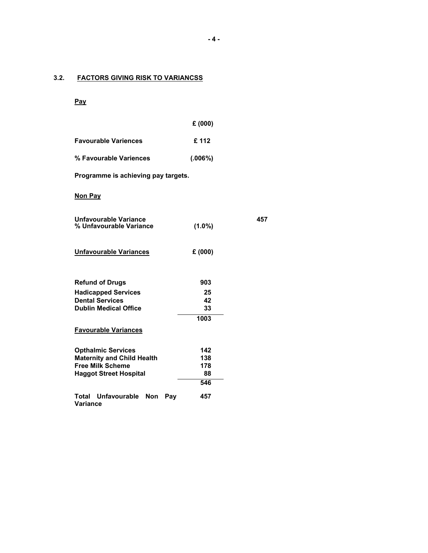# **3.2. FACTORS GIVING RISK TO VARIANCSS**

# **Pay**

|                                                          | £(000)     |     |
|----------------------------------------------------------|------------|-----|
| <b>Favourable Variences</b>                              | £112       |     |
| % Favourable Variences                                   | (.006%)    |     |
| Programme is achieving pay targets.                      |            |     |
| Non Pay                                                  |            |     |
| Unfavourable Variance<br>% Unfavourable Variance         | $(1.0\%)$  | 457 |
| <b>Unfavourable Variances</b>                            | £(000)     |     |
| <b>Refund of Drugs</b>                                   | 903        |     |
| <b>Hadicapped Services</b>                               | 25         |     |
| <b>Dental Services</b>                                   | 42         |     |
| <b>Dublin Medical Office</b>                             | 33         |     |
|                                                          | 1003       |     |
| <b>Favourable Variances</b>                              |            |     |
| <b>Opthalmic Services</b>                                | 142        |     |
| <b>Maternity and Child Health</b>                        | 138        |     |
| <b>Free Milk Scheme</b><br><b>Haggot Street Hospital</b> | 178<br>88  |     |
|                                                          | 546        |     |
| Total Unfavourable Non<br><b>Variance</b>                | 457<br>Pay |     |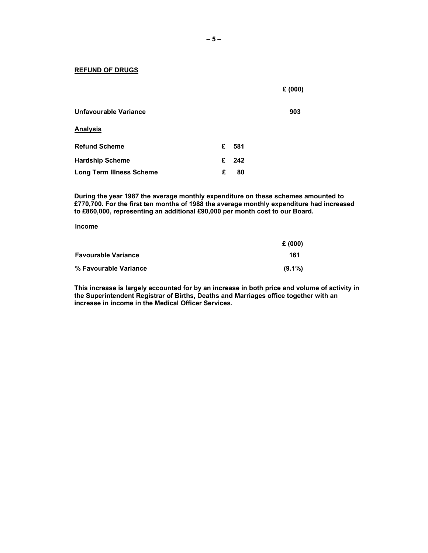#### **REFUND OF DRUGS**

|                                 |   |      | £(000) |
|---------------------------------|---|------|--------|
| Unfavourable Variance           |   |      | 903    |
| <b>Analysis</b>                 |   |      |        |
| <b>Refund Scheme</b>            | £ | -581 |        |
| <b>Hardship Scheme</b>          | £ | 242  |        |
| <b>Long Term Illness Scheme</b> | £ | 80   |        |

**During the year 1987 the average monthly expenditure on these schemes amounted to £770,700. For the first ten months of 1988 the average monthly expenditure had increased to £860,000, representing an additional £90,000 per month cost to our Board.** 

## **Income**

|                            | £ (000)   |
|----------------------------|-----------|
| <b>Favourable Variance</b> | 161       |
| % Favourable Variance      | $(9.1\%)$ |

**This increase is largely accounted for by an increase in both price and volume of activity in the Superintendent Registrar of Births, Deaths and Marriages office together with an increase in income in the Medical Officer Services.**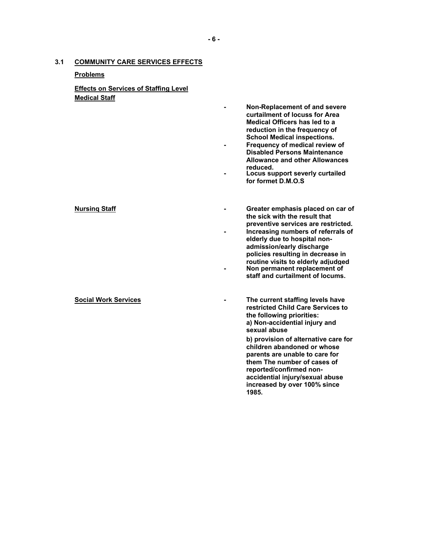# **3.1 COMMUNITY CARE SERVICES EFFECTS**

# **Problems**

# **Effects on Services of Staffing Level Medical Staff**

- **Non-Replacement of and severe curtailment of locuss for Area Medical Officers has led to a reduction in the frequency of School Medical inspections.**
- **Frequency of medical review of Disabled Persons Maintenance Allowance and other Allowances**
- **reduced. Locus support severly curtailed for formet D.M.O.S**

**Nursinq Staff**

# **Social Work Services -**

**preventive services are restricted. - Increasing numbers of referrals of elderly due to hospital non-**

**- Greater emphasis placed on car of the sick with the result that** 

- **admission/early discharge policies resulting in decrease in routine visits to elderly adjudged - Non permanent replacement of staff and curtailment of locums.**
- **The current staffing levels have restricted Child Care Services to** 
	- **the following priorities: a) Non-accidential injury and sexual abuse**

**b) provision of alternative care for children abandoned or whose parents are unable to care for them The number of cases of reported/confirmed nonaccidential injury/sexual abuse increased by over 100% since 1985.**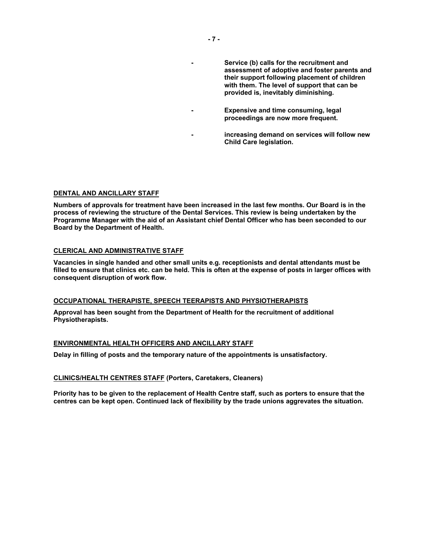**- Service (b) calls for the recruitment and assessment of adoptive and foster parents and their support following placement of children with them. The level of support that can be provided is, inevitably diminishing.** 

- **Expensive and time consuming, legal proceedings are now more frequent.** 
	- **increasing demand on services will follow new Child Care legislation.**

# **DENTAL AND ANCILLARY STAFF**

**Numbers of approvals for treatment have been increased in the last few months. Our Board is in the process of reviewing the structure of the Dental Services. This review is being undertaken by the Programme Manager with the aid of an Assistant chief Dental Officer who has been seconded to our Board by the Department of Health.** 

## **CLERICAL AND ADMINISTRATIVE STAFF**

**Vacancies in single handed and other small units e.g. receptionists and dental attendants must be filled to ensure that clinics etc. can be held. This is often at the expense of posts in larger offices with consequent disruption of work flow.** 

#### **OCCUPATIONAL THERAPISTE, SPEECH TEERAPISTS AND PHYSIOTHERAPISTS**

**Approval has been sought from the Department of Health for the recruitment of additional Physiotherapists.** 

# **ENVIRONMENTAL HEALTH OFFICERS AND ANCILLARY STAFF**

**Delay in filling of posts and the temporary nature of the appointments is unsatisfactory.** 

#### **CLINICS/HEALTH CENTRES STAFF (Porters, Caretakers, Cleaners)**

**Priority has to be given to the replacement of Health Centre staff, such as porters to ensure that the centres can be kept open. Continued lack of flexibility by the trade unions aggrevates the situation.**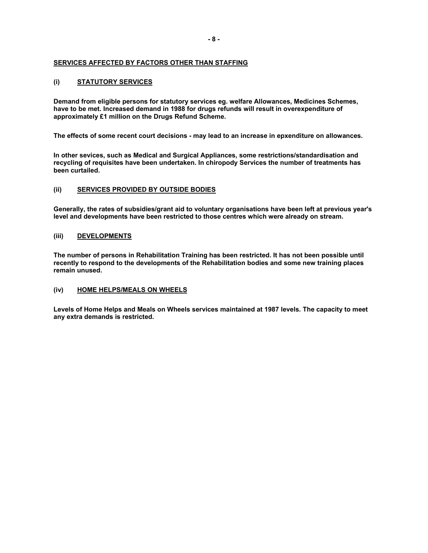# **SERVICES AFFECTED BY FACTORS OTHER THAN STAFFING**

# **(i) STATUTORY SERVICES**

**Demand from eligible persons for statutory services eg. welfare Allowances, Medicines Schemes, have to be met. Increased demand in 1988 for drugs refunds will result in overexpenditure of approximately £1 million on the Drugs Refund Scheme.** 

**The effects of some recent court decisions - may lead to an increase in epxenditure on allowances.** 

**In other sevices, such as Medical and Surgical Appliances, some restrictions/standardisation and recycling of requisites have been undertaken. In chiropody Services the number of treatments has been curtailed.** 

# **(ii) SERVICES PROVIDED BY OUTSIDE BODIES**

**Generally, the rates of subsidies/grant aid to voluntary organisations have been left at previous year's level and developments have been restricted to those centres which were already on stream.** 

# **(iii) DEVELOPMENTS**

**The number of persons in Rehabilitation Training has been restricted. It has not been possible until recently to respond to the developments of the Rehabilitation bodies and some new training places remain unused.** 

## **(iv) HOME HELPS/MEALS ON WHEELS**

**Levels of Home Helps and Meals on Wheels services maintained at 1987 levels. The capacity to meet any extra demands is restricted.**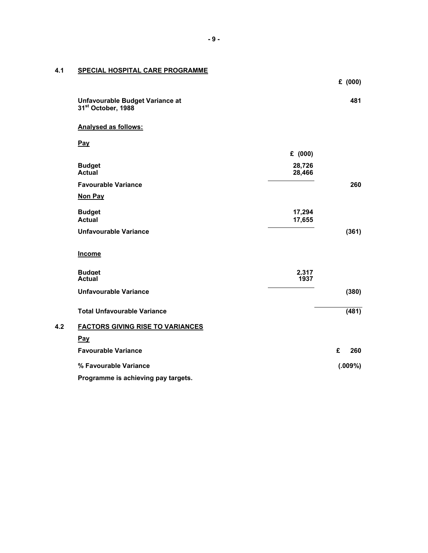# **4.1 SPECIAL HOSPITAL CARE PROGRAMME**

|     |                                                                   |                  | £ (000)  |  |
|-----|-------------------------------------------------------------------|------------------|----------|--|
|     | Unfavourable Budget Variance at<br>31 <sup>st</sup> October, 1988 |                  | 481      |  |
|     | <b>Analysed as follows:</b>                                       |                  |          |  |
|     | Pay                                                               |                  |          |  |
|     |                                                                   | £ (000)          |          |  |
|     | <b>Budget</b><br><b>Actual</b>                                    | 28,726<br>28,466 |          |  |
|     | <b>Favourable Variance</b>                                        |                  | 260      |  |
|     | Non Pay                                                           |                  |          |  |
|     | <b>Budget</b><br><b>Actual</b>                                    | 17,294<br>17,655 |          |  |
|     | <b>Unfavourable Variance</b>                                      |                  | (361)    |  |
|     | Income                                                            |                  |          |  |
|     | <b>Budget</b><br><b>Actual</b>                                    | 2.317<br>1937    |          |  |
|     | <b>Unfavourable Variance</b>                                      |                  | (380)    |  |
|     | <b>Total Unfavourable Variance</b>                                |                  | (481)    |  |
| 4.2 | <b>FACTORS GIVING RISE TO VARIANCES</b>                           |                  |          |  |
|     | Pay                                                               |                  |          |  |
|     | <b>Favourable Variance</b>                                        |                  | £<br>260 |  |
|     | % Favourable Variance                                             |                  | (.009%)  |  |
|     | Programme is achieving pay targets.                               |                  |          |  |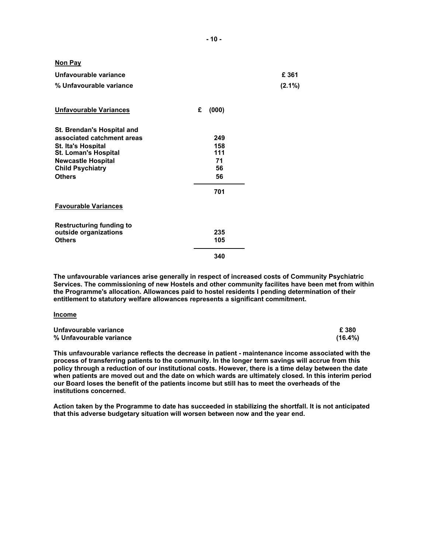| <u>Non Pay</u><br>Unfavourable variance<br>% Unfavourable variance                                                                                                                            |                                            | £ 361<br>$(2.1\%)$ |
|-----------------------------------------------------------------------------------------------------------------------------------------------------------------------------------------------|--------------------------------------------|--------------------|
| <b>Unfavourable Variances</b>                                                                                                                                                                 | £<br>(000)                                 |                    |
| St. Brendan's Hospital and<br>associated catchment areas<br><b>St. Ita's Hospital</b><br><b>St. Loman's Hospital</b><br><b>Newcastle Hospital</b><br><b>Child Psychiatry</b><br><b>Others</b> | 249<br>158<br>111<br>71<br>56<br>56<br>701 |                    |
| <b>Favourable Variances</b>                                                                                                                                                                   |                                            |                    |
| <b>Restructuring funding to</b><br>outside organizations<br><b>Others</b>                                                                                                                     | 235<br>105<br>340                          |                    |

**The unfavourable variances arise generally in respect of increased costs of Community Psychiatric Services. The commissioning of new Hostels and other community facilites have been met from within the Programme's allocation. Allowances paid to hostel residents I pending determination of their entitlement to statutory welfare allowances represents a significant commitment.** 

#### **Income**

| Unfavourable variance   | £ 380      |
|-------------------------|------------|
| % Unfavourable variance | $(16.4\%)$ |

**This unfavourable variance reflects the decrease in patient - maintenance income associated with the process of transferring patients to the community. In the longer term savings will accrue from this policy through a reduction of our institutional costs. However, there is a time delay between the date when patients are moved out and the date on which wards are ultimately closed. In this interim period our Board loses the benefit of the patients income but still has to meet the overheads of the institutions concerned.** 

**Action taken by the Programme to date has succeeded in stabilizing the shortfall. It is not anticipated that this adverse budgetary situation will worsen between now and the year end.**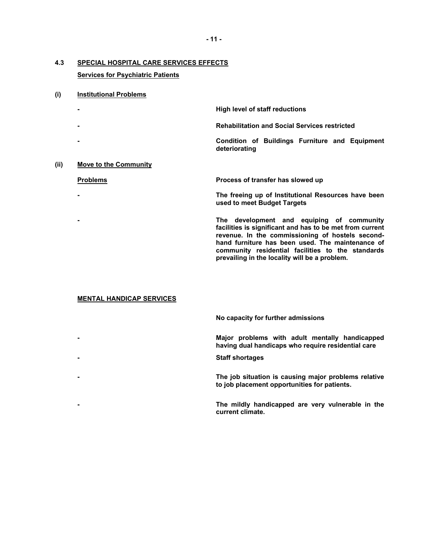# **4.3 SPECIAL HOSPITAL CARE SERVICES EFFECTS**

# **Services for Psychiatric Patients**

# **(i) Institutional Problems**

|      | ٠                     | High level of staff reductions                                                     |
|------|-----------------------|------------------------------------------------------------------------------------|
|      | $\blacksquare$        | <b>Rehabilitation and Social Services restricted</b>                               |
|      | ٠                     | Condition of Buildings Furniture and Equipment<br>deteriorating                    |
| (ii) | Move to the Community |                                                                                    |
|      | <b>Problems</b>       | Process of transfer has slowed up                                                  |
|      | ٠                     | The freeing up of Institutional Resources have been<br>used to meet Budget Targets |
|      |                       |                                                                                    |

**- The development and equiping of community facilities is significant and has to be met from current revenue. In the commissioning of hostels secondhand furniture has been used. The maintenance of community residential facilities to the standards prevailing in the locality will be a problem.** 

# **MENTAL HANDICAP SERVICES**

**No capacity for further admissions - Major problems with adult mentally handicapped having dual handicaps who require residential care - Staff shortages - The job situation is causing major problems relative to job placement opportunities for patients.** 

**- The mildly handicapped are very vulnerable in the current climate.**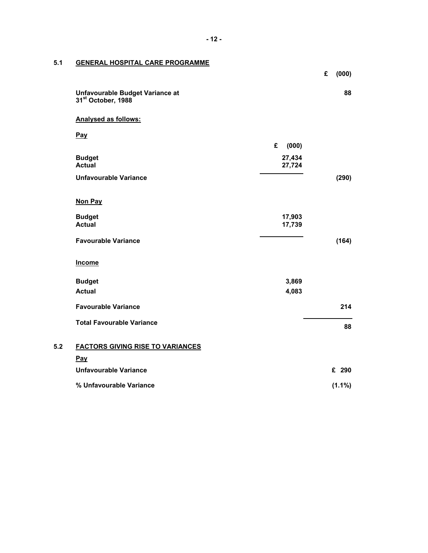# **5.1 GENERAL HOSPITAL CARE PROGRAMME**

|     |                                                                   |                  | £ | (000)     |
|-----|-------------------------------------------------------------------|------------------|---|-----------|
|     | Unfavourable Budget Variance at<br>31 <sup>st</sup> October, 1988 |                  |   | 88        |
|     | Analysed as follows:                                              |                  |   |           |
|     | <b>Pay</b>                                                        |                  |   |           |
|     |                                                                   | £<br>(000)       |   |           |
|     | <b>Budget</b><br><b>Actual</b>                                    | 27,434<br>27,724 |   |           |
|     | <b>Unfavourable Variance</b>                                      |                  |   | (290)     |
|     | Non Pay                                                           |                  |   |           |
|     | <b>Budget</b>                                                     | 17,903           |   |           |
|     | <b>Actual</b>                                                     | 17,739           |   |           |
|     | <b>Favourable Variance</b>                                        |                  |   | (164)     |
|     | <b>Income</b>                                                     |                  |   |           |
|     | <b>Budget</b>                                                     | 3,869            |   |           |
|     | <b>Actual</b>                                                     | 4,083            |   |           |
|     | <b>Favourable Variance</b>                                        |                  |   | 214       |
|     | <b>Total Favourable Variance</b>                                  |                  |   | 88        |
| 5.2 | <b>FACTORS GIVING RISE TO VARIANCES</b>                           |                  |   |           |
|     | Pay                                                               |                  |   |           |
|     | <b>Unfavourable Variance</b>                                      |                  |   | £ 290     |
|     | % Unfavourable Variance                                           |                  |   | $(1.1\%)$ |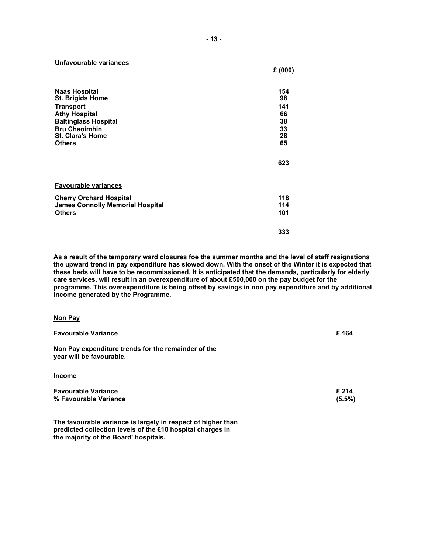**Unfavourable variances**

|                                                 | £(000)    |
|-------------------------------------------------|-----------|
| <b>Naas Hospital</b><br><b>St. Brigids Home</b> | 154<br>98 |
| <b>Transport</b>                                | 141       |
| <b>Athy Hospital</b>                            | 66        |
| <b>Baltinglass Hospital</b>                     | 38        |
| <b>Bru Chaoimhin</b>                            | 33        |
| <b>St. Clara's Home</b>                         | 28        |
| <b>Others</b>                                   | 65        |
|                                                 | 623       |
| <b>Favourable variances</b>                     |           |
| <b>Cherry Orchard Hospital</b>                  | 118       |
| <b>James Connolly Memorial Hospital</b>         | 114       |
| <b>Others</b>                                   | 101       |
|                                                 | 333       |

**As a result of the temporary ward closures foe the summer months and the level of staff resignations the upward trend in pay expenditure has slowed down. With the onset of the Winter it is expected that these beds will have to be recommissioned. It is anticipated that the demands, particularly for elderly care services, will result in an overexpenditure of about £500,000 on the pay budget for the programme. This overexpenditure is being offset by savings in non pay expenditure and by additional income generated by the Programme.** 

| Non Pay                                                                         |                    |
|---------------------------------------------------------------------------------|--------------------|
| <b>Favourable Variance</b>                                                      | £164               |
| Non Pay expenditure trends for the remainder of the<br>year will be favourable. |                    |
| <b>Income</b>                                                                   |                    |
| <b>Favourable Variance</b><br>% Favourable Variance                             | £ 214<br>$(5.5\%)$ |

**The favourable variance is largely in respect of higher than predicted collection levels of the £10 hospital charges in the majority of the Board' hospitals.**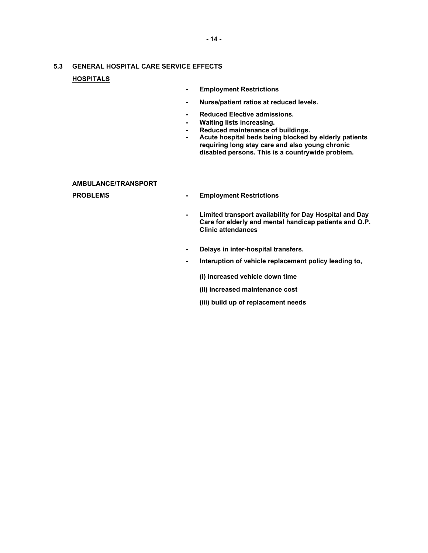# **5.3 GENERAL HOSPITAL CARE SERVICE EFFECTS**

# **HOSPITALS**

- **Employment Restrictions**
- **Nurse/patient ratios at reduced levels.**
- **Reduced Elective admissions.**
- **Waiting lists increasing.**
- **Reduced maintenance of buildings.**
- **Acute hospital beds being blocked by elderly patients requiring long stay care and also young chronic disabled persons. This is a countrywide problem.**

#### **AMBULANCE/TRANSPORT**

- **PROBLEMS Employment Restrictions** 
	- **Limited transport availability for Day Hospital and Day Care for elderly and mental handicap patients and O.P. Clinic attendances**
	- **Delays in inter-hospital transfers.**
	- **Interuption of vehicle replacement policy leading to,** 
		- **(i) increased vehicle down time**
		- **(ii) increased maintenance cost**
		- **(iii) build up of replacement needs**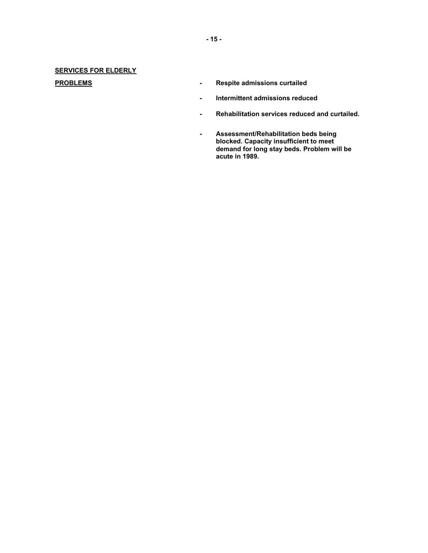# **SERVICES FOR ELDERLY**

- **PROBLEMS Respite admissions curtailed** 
	- **Intermittent admissions reduced**
	- **Rehabilitation services reduced and curtailed.**
	- **Assessment/Rehabilitation beds being blocked. Capacity insufficient to meet demand for long stay beds. Problem will be acute in 1989.**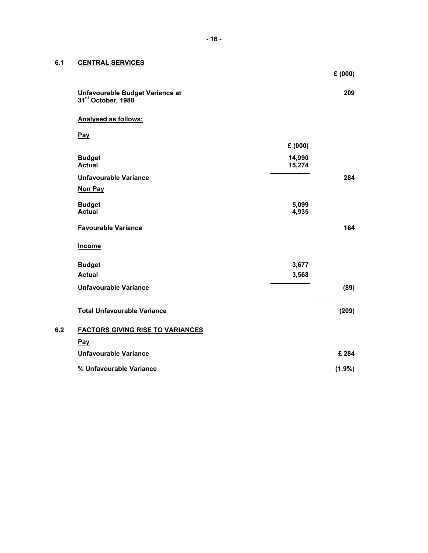# **6.1 CENTRAL SERVICES**

|     |                                                                   |                  | £(000)    |
|-----|-------------------------------------------------------------------|------------------|-----------|
|     | Unfavourable Budget Variance at<br>31 <sup>st</sup> October, 1988 |                  | 209       |
|     | Analysed as follows:                                              |                  |           |
|     | <b>Pay</b>                                                        |                  |           |
|     |                                                                   | £(000)           |           |
|     | <b>Budget</b><br><b>Actual</b>                                    | 14,990<br>15,274 |           |
|     | <b>Unfavourable Variance</b>                                      |                  | 284       |
|     | <b>Non Pay</b>                                                    |                  |           |
|     | <b>Budget</b><br><b>Actual</b>                                    | 5,099<br>4,935   |           |
|     | <b>Favourable Variance</b>                                        |                  | 164       |
|     | Income                                                            |                  |           |
|     | <b>Budget</b>                                                     | 3,677            |           |
|     | <b>Actual</b>                                                     | 3,568            |           |
|     | <b>Unfavourable Variance</b>                                      |                  | (89)      |
|     | <b>Total Unfavourable Variance</b>                                |                  | (209)     |
| 6.2 | <b>FACTORS GIVING RISE TO VARIANCES</b>                           |                  |           |
|     | Pay                                                               |                  |           |
|     | <b>Unfavourable Variance</b>                                      |                  | £284      |
|     | % Unfavourable Variance                                           |                  | $(1.9\%)$ |